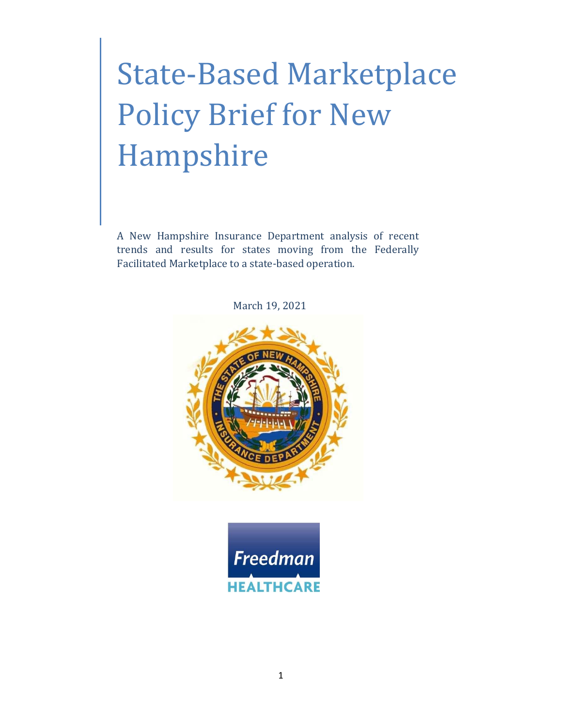# State-Based Marketplace Policy Brief for New Hampshire

A New Hampshire Insurance Department analysis of recent trends and results for states moving from the Federally Facilitated Marketplace to a state-based operation.

March 19, 2021



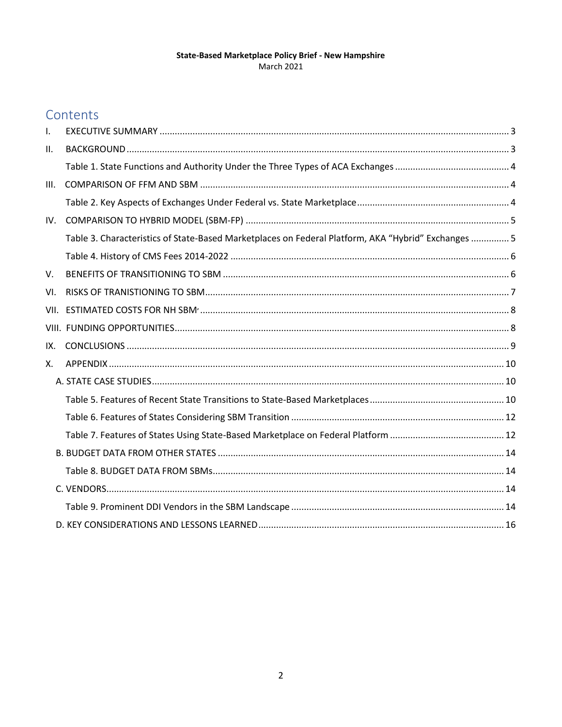#### **State-Based Marketplace Policy Brief - New Hampshire March 2021**

## Contents

| I.   |                                                                                                     |  |
|------|-----------------------------------------------------------------------------------------------------|--|
| ΙΙ.  |                                                                                                     |  |
|      |                                                                                                     |  |
| III. |                                                                                                     |  |
|      |                                                                                                     |  |
| IV.  |                                                                                                     |  |
|      | Table 3. Characteristics of State-Based Marketplaces on Federal Platform, AKA "Hybrid" Exchanges  5 |  |
|      |                                                                                                     |  |
| V.   |                                                                                                     |  |
| VI.  |                                                                                                     |  |
|      |                                                                                                     |  |
|      |                                                                                                     |  |
| IX.  |                                                                                                     |  |
| Χ.   |                                                                                                     |  |
|      |                                                                                                     |  |
|      |                                                                                                     |  |
|      |                                                                                                     |  |
|      |                                                                                                     |  |
|      |                                                                                                     |  |
|      |                                                                                                     |  |
|      |                                                                                                     |  |
|      |                                                                                                     |  |
|      |                                                                                                     |  |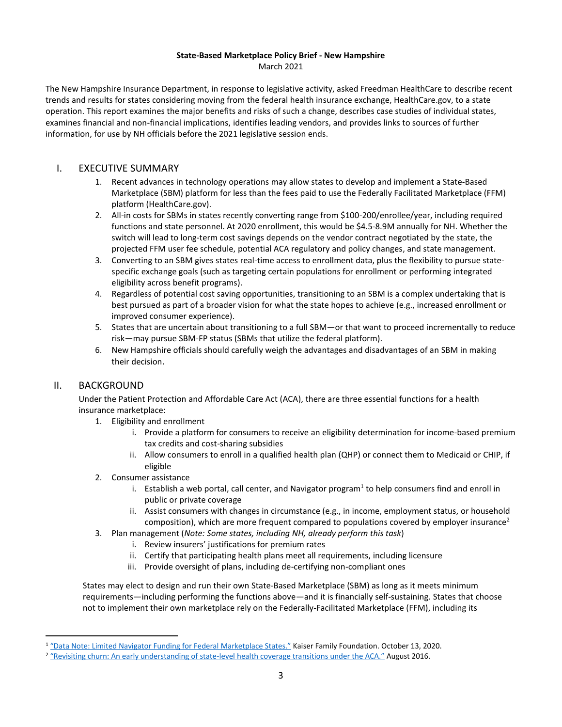#### **State-Based Marketplace Policy Brief - New Hampshire** March 2021

The New Hampshire Insurance Department, in response to legislative activity, asked Freedman HealthCare to describe recent trends and results for states considering moving from the federal health insurance exchange, HealthCare.gov, to a state operation. This report examines the major benefits and risks of such a change, describes case studies of individual states, examines financial and non-financial implications, identifies leading vendors, and provides links to sources of further information, for use by NH officials before the 2021 legislative session ends.

## <span id="page-2-0"></span>I. EXECUTIVE SUMMARY

- 1. Recent advances in technology operations may allow states to develop and implement a State-Based Marketplace (SBM) platform for less than the fees paid to use the Federally Facilitated Marketplace (FFM) platform (HealthCare.gov).
- 2. All-in costs for SBMs in states recently converting range from \$100-200/enrollee/year, including required functions and state personnel. At 2020 enrollment, this would be \$4.5-8.9M annually for NH. Whether the switch will lead to long-term cost savings depends on the vendor contract negotiated by the state, the projected FFM user fee schedule, potential ACA regulatory and policy changes, and state management.
- 3. Converting to an SBM gives states real-time access to enrollment data, plus the flexibility to pursue statespecific exchange goals (such as targeting certain populations for enrollment or performing integrated eligibility across benefit programs).
- 4. Regardless of potential cost saving opportunities, transitioning to an SBM is a complex undertaking that is best pursued as part of a broader vision for what the state hopes to achieve (e.g., increased enrollment or improved consumer experience).
- 5. States that are uncertain about transitioning to a full SBM—or that want to proceed incrementally to reduce risk—may pursue SBM-FP status (SBMs that utilize the federal platform).
- 6. New Hampshire officials should carefully weigh the advantages and disadvantages of an SBM in making their decision.

## <span id="page-2-1"></span>II. BACKGROUND

Under the Patient Protection and Affordable Care Act (ACA), there are three essential functions for a health insurance marketplace:

- 1. Eligibility and enrollment
	- i. Provide a platform for consumers to receive an eligibility determination for income-based premium tax credits and cost-sharing subsidies
	- ii. Allow consumers to enroll in a qualified health plan (QHP) or connect them to Medicaid or CHIP, if eligible
- 2. Consumer assistance
	- i. Establish a web portal, call center, and Navigator program<sup>1</sup> to help consumers find and enroll in public or private coverage
	- ii. Assist consumers with changes in circumstance (e.g., in income, employment status, or household composition), which are more frequent compared to populations covered by employer insurance<sup>2</sup>
- 3. Plan management (*Note: Some states, including NH, already perform this task*)
	- i. Review insurers' justifications for premium rates
	- ii. Certify that participating health plans meet all requirements, including licensure
	- iii. Provide oversight of plans, including de-certifying non-compliant ones

States may elect to design and run their own State-Based Marketplace (SBM) as long as it meets minimum requirements—including performing the functions above—and it is financially self-sustaining. States that choose not to implement their own marketplace rely on the Federally-Facilitated Marketplace (FFM), including its

<sup>&</sup>lt;sup>1</sup> ["Data Note: Limited Navigator Funding for Federal Marketplace States."](https://www.kff.org/private-insurance/issue-brief/data-note-further-reductions-in-navigator-funding-for-federal-marketplace-states/) Kaiser Family Foundation. October 13, 2020.

<sup>&</sup>lt;sup>2</sup> ["Revisiting churn: An early understanding of state](https://www.nashp.org/wp-content/uploads/2016/08/Churn-Brief.pdf)-level health coverage transitions under the ACA." August 2016.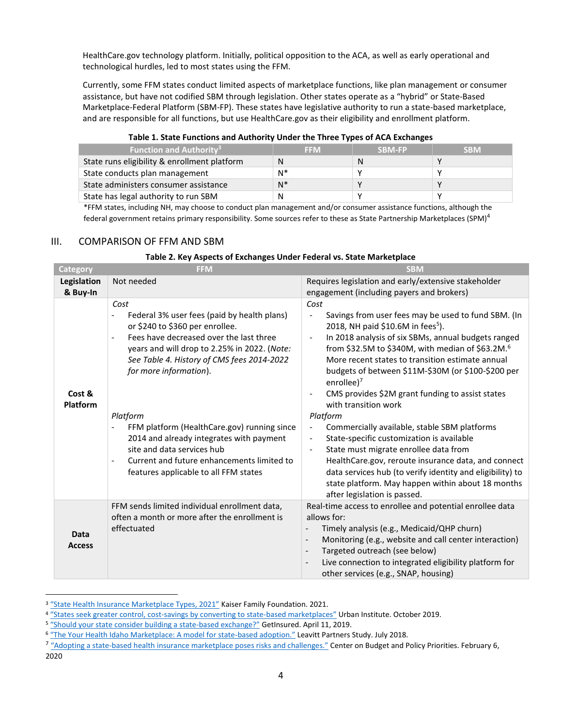HealthCare.gov technology platform. Initially, political opposition to the ACA, as well as early operational and technological hurdles, led to most states using the FFM.

Currently, some FFM states conduct limited aspects of marketplace functions, like plan management or consumer assistance, but have not codified SBM through legislation. Other states operate as a "hybrid" or State-Based Marketplace-Federal Platform (SBM-FP). These states have legislative authority to run a state-based marketplace, and are responsible for all functions, but use HealthCare.gov as their eligibility and enrollment platform.

<span id="page-3-0"></span>

| <b>Function and Authority<sup>3</sup></b>    | <b>FFM</b> | <b>SBM-FP</b> | <b>SBM</b> |
|----------------------------------------------|------------|---------------|------------|
| State runs eligibility & enrollment platform | N          | N             |            |
| State conducts plan management               | $N^*$      | v             |            |
| State administers consumer assistance        | $N^*$      | $\checkmark$  |            |
| State has legal authority to run SBM         | N          | v             |            |

#### **Table 1. State Functions and Authority Under the Three Types of ACA Exchanges**

\*FFM states, including NH, may choose to conduct plan management and/or consumer assistance functions, although the federal government retains primary responsibility. Some sources refer to these as State Partnership Marketplaces (SPM)<sup>4</sup>

## <span id="page-3-2"></span><span id="page-3-1"></span>III. COMPARISON OF FFM AND SBM

| Category                | <b>FFM</b>                                                                                                                                                                                                                                                                                                                                                                                                                                                                                                                                                                | <b>SBM</b>                                                                                                                                                                                                                                                                                                                                                                                                                                                                                                                                                                                                                                                                                                                                                                                                                                               |
|-------------------------|---------------------------------------------------------------------------------------------------------------------------------------------------------------------------------------------------------------------------------------------------------------------------------------------------------------------------------------------------------------------------------------------------------------------------------------------------------------------------------------------------------------------------------------------------------------------------|----------------------------------------------------------------------------------------------------------------------------------------------------------------------------------------------------------------------------------------------------------------------------------------------------------------------------------------------------------------------------------------------------------------------------------------------------------------------------------------------------------------------------------------------------------------------------------------------------------------------------------------------------------------------------------------------------------------------------------------------------------------------------------------------------------------------------------------------------------|
| Legislation<br>& Buy-In | Not needed                                                                                                                                                                                                                                                                                                                                                                                                                                                                                                                                                                | Requires legislation and early/extensive stakeholder<br>engagement (including payers and brokers)                                                                                                                                                                                                                                                                                                                                                                                                                                                                                                                                                                                                                                                                                                                                                        |
| Cost &<br>Platform      | Cost<br>Federal 3% user fees (paid by health plans)<br>or \$240 to \$360 per enrollee.<br>Fees have decreased over the last three<br>$\overline{\phantom{0}}$<br>years and will drop to 2.25% in 2022. (Note:<br>See Table 4. History of CMS fees 2014-2022<br>for more information).<br>Platform<br>FFM platform (HealthCare.gov) running since<br>$\overline{\phantom{a}}$<br>2014 and already integrates with payment<br>site and data services hub<br>Current and future enhancements limited to<br>$\overline{\phantom{a}}$<br>features applicable to all FFM states | Cost<br>Savings from user fees may be used to fund SBM. (In<br>2018, NH paid \$10.6M in fees <sup>5</sup> ).<br>In 2018 analysis of six SBMs, annual budgets ranged<br>from \$32.5M to \$340M, with median of \$63.2M. $^{6}$<br>More recent states to transition estimate annual<br>budgets of between \$11M-\$30M (or \$100-\$200 per<br>enrollee $)^7$<br>CMS provides \$2M grant funding to assist states<br>with transition work<br>Platform<br>Commercially available, stable SBM platforms<br>$\overline{\phantom{a}}$<br>State-specific customization is available<br>$\overline{\phantom{a}}$<br>State must migrate enrollee data from<br>HealthCare.gov, reroute insurance data, and connect<br>data services hub (to verify identity and eligibility) to<br>state platform. May happen within about 18 months<br>after legislation is passed. |
| Data<br><b>Access</b>   | FFM sends limited individual enrollment data,<br>often a month or more after the enrollment is<br>effectuated                                                                                                                                                                                                                                                                                                                                                                                                                                                             | Real-time access to enrollee and potential enrollee data<br>allows for:<br>Timely analysis (e.g., Medicaid/QHP churn)<br>$\overline{\phantom{0}}$<br>Monitoring (e.g., website and call center interaction)<br>$\frac{1}{2}$<br>Targeted outreach (see below)<br>$\overline{\phantom{a}}$<br>Live connection to integrated eligibility platform for<br>other services (e.g., SNAP, housing)                                                                                                                                                                                                                                                                                                                                                                                                                                                              |

#### **Table 2. Key Aspects of Exchanges Under Federal vs. State Marketplace**

<sup>&</sup>lt;sup>3</sup> ["State Health Insurance Marketplace Types, 2021"](https://www.kff.org/health-reform/state-indicator/state-health-insurance-marketplace-types/) Kaiser Family Foundation. 2021.

<sup>&</sup>lt;sup>4</sup> ["States seek greater control, cost](https://www.urban.org/sites/default/files/publication/101166/states_seek_greater_control_cost_savings_by_converting_to_state-based_marketplaces_1.pdf)-savings by converting to state-based marketplaces" Urban Institute. October 2019.

<sup>5</sup> ["Should your state consider building a state](https://company.getinsured.com/should-your-state-consider-building-a-state-based-exchange/)-based exchange?" GetInsured. April 11, 2019.

<sup>&</sup>lt;sup>6</sup> ["The Your Health Idaho Marketplace: A model for state](https://www.yourhealthidaho.org/wp-content/uploads/2018/07/Leavitt-Partners-Study_The-Your-Health-Idaho-Marketplace-A-Model-For-State-Based-Adoption.pdf)-based adoption." Leavitt Partners Study. July 2018.

<sup>&</sup>lt;sup>7</sup> "Adopting a state-[based health insurance marketplace poses risks and challenges."](https://www.cbpp.org/research/health/adopting-a-state-based-health-insurance-marketplace-poses-risks-and-challenges) Center on Budget and Policy Priorities. February 6,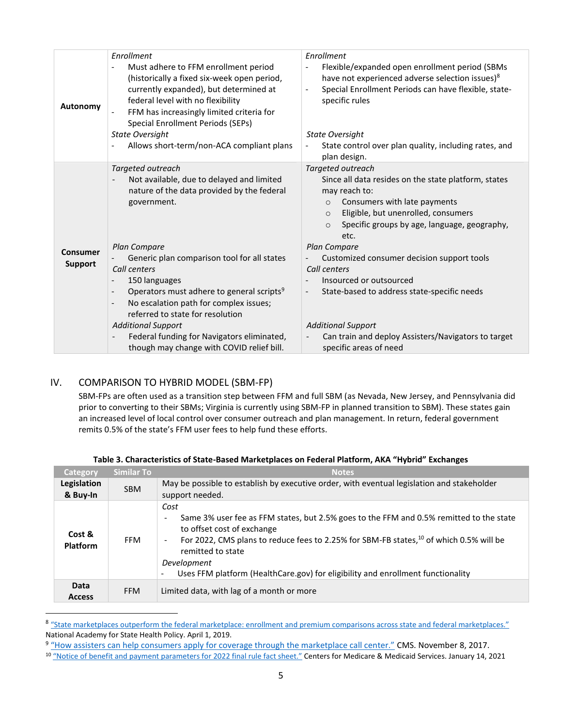| Autonomy                   | Enrollment<br>Must adhere to FFM enrollment period<br>(historically a fixed six-week open period,<br>currently expanded), but determined at<br>federal level with no flexibility<br>FFM has increasingly limited criteria for<br>Special Enrollment Periods (SEPs)<br><b>State Oversight</b><br>Allows short-term/non-ACA compliant plans | Enrollment<br>Flexible/expanded open enrollment period (SBMs<br>have not experienced adverse selection issues) <sup>8</sup><br>Special Enrollment Periods can have flexible, state-<br>$\overline{\phantom{a}}$<br>specific rules<br><b>State Oversight</b><br>State control over plan quality, including rates, and<br>plan design. |
|----------------------------|-------------------------------------------------------------------------------------------------------------------------------------------------------------------------------------------------------------------------------------------------------------------------------------------------------------------------------------------|--------------------------------------------------------------------------------------------------------------------------------------------------------------------------------------------------------------------------------------------------------------------------------------------------------------------------------------|
|                            | Targeted outreach<br>Not available, due to delayed and limited<br>nature of the data provided by the federal<br>government.                                                                                                                                                                                                               | Targeted outreach<br>Since all data resides on the state platform, states<br>may reach to:<br>Consumers with late payments<br>$\circ$<br>Eligible, but unenrolled, consumers<br>$\circ$<br>Specific groups by age, language, geography,<br>$\Omega$<br>etc.                                                                          |
| Consumer<br><b>Support</b> | Plan Compare<br>Generic plan comparison tool for all states<br>Call centers<br>150 languages<br>$\qquad \qquad -$<br>Operators must adhere to general scripts <sup>9</sup><br>$\overline{\phantom{a}}$<br>No escalation path for complex issues;<br>$\overline{\phantom{m}}$<br>referred to state for resolution                          | <b>Plan Compare</b><br>Customized consumer decision support tools<br>Call centers<br>Insourced or outsourced<br>$\overline{\phantom{a}}$<br>State-based to address state-specific needs<br>$\overline{\phantom{m}}$                                                                                                                  |
|                            | <b>Additional Support</b><br>Federal funding for Navigators eliminated,<br>though may change with COVID relief bill.                                                                                                                                                                                                                      | <b>Additional Support</b><br>Can train and deploy Assisters/Navigators to target<br>specific areas of need                                                                                                                                                                                                                           |

## <span id="page-4-0"></span>IV. COMPARISON TO HYBRID MODEL (SBM-FP)

SBM-FPs are often used as a transition step between FFM and full SBM (as Nevada, New Jersey, and Pennsylvania did prior to converting to their SBMs; Virginia is currently using SBM-FP in planned transition to SBM). These states gain an increased level of local control over consumer outreach and plan management. In return, federal government remits 0.5% of the state's FFM user fees to help fund these efforts.

<span id="page-4-1"></span>

| Category                  | <b>Similar To</b> | <b>Notes</b>                                                                                                                                                                                                                                                                                                                                                                                                                                       |  |  |
|---------------------------|-------------------|----------------------------------------------------------------------------------------------------------------------------------------------------------------------------------------------------------------------------------------------------------------------------------------------------------------------------------------------------------------------------------------------------------------------------------------------------|--|--|
| Legislation<br>& Buy-In   | <b>SBM</b>        | May be possible to establish by executive order, with eventual legislation and stakeholder<br>support needed.                                                                                                                                                                                                                                                                                                                                      |  |  |
| Cost &<br><b>Platform</b> | <b>FFM</b>        | Cost<br>Same 3% user fee as FFM states, but 2.5% goes to the FFM and 0.5% remitted to the state<br>$\overline{\phantom{a}}$<br>to offset cost of exchange<br>For 2022, CMS plans to reduce fees to 2.25% for SBM-FB states, <sup>10</sup> of which 0.5% will be<br>$\overline{\phantom{0}}$<br>remitted to state<br>Development<br>Uses FFM platform (HealthCare.gov) for eligibility and enrollment functionality<br>$\qquad \qquad \blacksquare$ |  |  |
| Data<br><b>Access</b>     | <b>FFM</b>        | Limited data, with lag of a month or more                                                                                                                                                                                                                                                                                                                                                                                                          |  |  |

| Table 3. Characteristics of State-Based Marketplaces on Federal Platform, AKA "Hybrid" Exchanges |  |
|--------------------------------------------------------------------------------------------------|--|
|--------------------------------------------------------------------------------------------------|--|

<sup>&</sup>lt;sup>8</sup> ["State marketplaces outperform the federal marketplace: enrollment and premium comparisons across state and federal marketplaces."](https://www.nashp.org/wp-content/uploads/2019/04/SBM-FFM-Comparison-Data_4_1_2019.pdf) National Academy for State Health Policy. April 1, 2019.

<sup>&</sup>lt;sup>9</sup> ["How assisters can help consumers apply for coverage through the marketplace call center."](https://marketplace.cms.gov/technical-assistance-resources/helping-consumers-apply-through-the-call-center.pdf) CMS. November 8, 2017.

<sup>&</sup>lt;sup>10</sup> ["Notice of benefit and payment parameters for 2022 final rule fact sheet."](https://www.cms.gov/newsroom/fact-sheets/notice-benefit-and-payment-parameters-2022-final-rule-fact-sheet) Centers for Medicare & Medicaid Services. January 14, 2021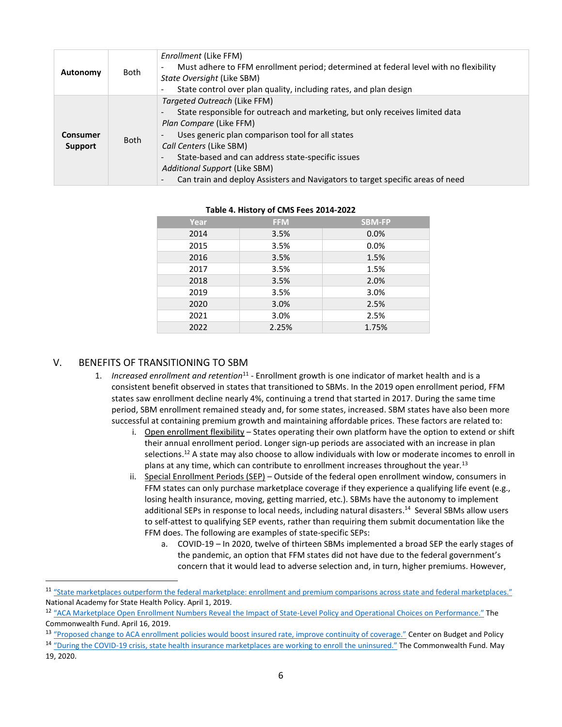| Autonomy                   | Both        | Enrollment (Like FFM)<br>Must adhere to FFM enrollment period; determined at federal level with no flexibility<br>State Oversight (Like SBM)<br>State control over plan quality, including rates, and plan design                                                                                                                                                                              |
|----------------------------|-------------|------------------------------------------------------------------------------------------------------------------------------------------------------------------------------------------------------------------------------------------------------------------------------------------------------------------------------------------------------------------------------------------------|
| <b>Consumer</b><br>Support | <b>Both</b> | Targeted Outreach (Like FFM)<br>State responsible for outreach and marketing, but only receives limited data<br>Plan Compare (Like FFM)<br>Uses generic plan comparison tool for all states<br>Call Centers (Like SBM)<br>State-based and can address state-specific issues<br>Additional Support (Like SBM)<br>Can train and deploy Assisters and Navigators to target specific areas of need |

<span id="page-5-0"></span>

| Year | <b>FFM</b> | <b>SBM-FP</b> |
|------|------------|---------------|
| 2014 | 3.5%       | 0.0%          |
| 2015 | 3.5%       | 0.0%          |
| 2016 | 3.5%       | 1.5%          |
| 2017 | 3.5%       | 1.5%          |
| 2018 | 3.5%       | 2.0%          |
| 2019 | 3.5%       | 3.0%          |
| 2020 | 3.0%       | 2.5%          |
| 2021 | 3.0%       | 2.5%          |
| 2022 | 2.25%      | 1.75%         |

#### **Table 4. History of CMS Fees 2014-2022**

#### <span id="page-5-1"></span>V. BENEFITS OF TRANSITIONING TO SBM

- 1. *Increased enrollment and retention*<sup>11</sup> Enrollment growth is one indicator of market health and is a consistent benefit observed in states that transitioned to SBMs. In the 2019 open enrollment period, FFM states saw enrollment decline nearly 4%, continuing a trend that started in 2017. During the same time period, SBM enrollment remained steady and, for some states, increased. SBM states have also been more successful at containing premium growth and maintaining affordable prices. These factors are related to:
	- i. Open enrollment flexibility States operating their own platform have the option to extend or shift their annual enrollment period. Longer sign-up periods are associated with an increase in plan selections.<sup>12</sup> A state may also choose to allow individuals with low or moderate incomes to enroll in plans at any time, which can contribute to enrollment increases throughout the year.<sup>13</sup>
	- ii. Special Enrollment Periods (SEP) Outside of the federal open enrollment window, consumers in FFM states can only purchase marketplace coverage if they experience a qualifying life event (e.g., losing health insurance, moving, getting married, etc.). SBMs have the autonomy to implement additional SEPs in response to local needs, including natural disasters. 14 Several SBMs allow users to self-attest to qualifying SEP events, rather than requiring them submit documentation like the FFM does. The following are examples of state-specific SEPs:
		- a. COVID-19 In 2020, twelve of thirteen SBMs implemented a broad SEP the early stages of the pandemic, an option that FFM states did not have due to the federal government's concern that it would lead to adverse selection and, in turn, higher premiums. However,

<sup>11</sup> ["State marketplaces outperform the federal marketplace: enrollment and premium comparisons across state and federal marketplaces."](https://www.nashp.org/wp-content/uploads/2019/04/SBM-FFM-Comparison-Data_4_1_2019.pdf) National Academy for State Health Policy. April 1, 2019.

<sup>&</sup>lt;sup>12</sup> ["ACA Marketplace Open Enrollment Numbers Reveal the Impact of State](https://www.commonwealthfund.org/blog/2019/aca-marketplace-open-enrollment-numbers-reveal-impact)-Level Policy and Operational Choices on Performance." The Commonwealth Fund. April 16, 2019.

<sup>&</sup>lt;sup>13</sup> ["Proposed change to ACA enrollment policies would boost insured rate, improve continuity of coverage."](https://www.cbpp.org/research/health/proposed-change-to-aca-enrollment-policies-would-boost-insured-rate-improve) Center on Budget and Policy

<sup>&</sup>lt;sup>14</sup> "During the COVID[-19 crisis, state health insurance marketplaces are working to enroll the](https://www.commonwealthfund.org/blog/2020/during-covid-19-crisis-state-health-insurance-marketplaces-are-working-enroll-uninsured) uninsured." The Commonwealth Fund. May 19, 2020.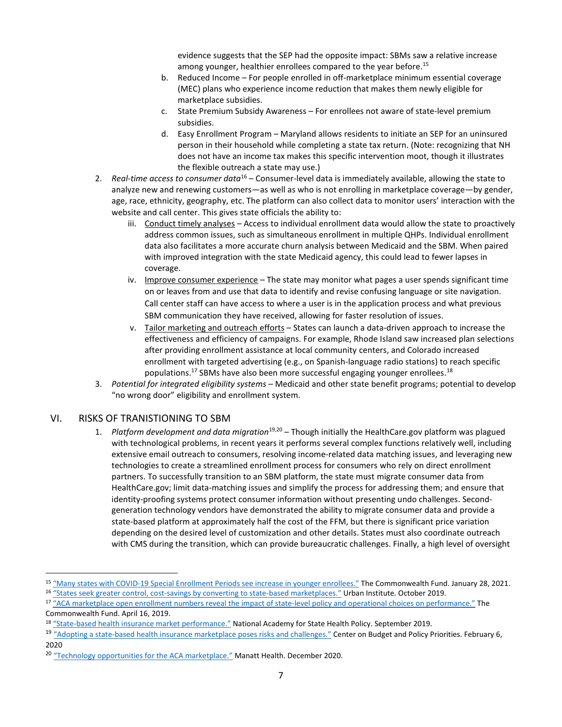evidence suggests that the SEP had the opposite impact: SBMs saw a relative increase among younger, healthier enrollees compared to the year before.<sup>15</sup>

- b. Reduced Income For people enrolled in off-marketplace minimum essential coverage (MEC) plans who experience income reduction that makes them newly eligible for marketplace subsidies.
- c. State Premium Subsidy Awareness For enrollees not aware of state-level premium subsidies.
- d. Easy Enrollment Program Maryland allows residents to initiate an SEP for an uninsured person in their household while completing a state tax return. (Note: recognizing that NH does not have an income tax makes this specific intervention moot, though it illustrates the flexible outreach a state may use.)
- 2. *Real-time access to consumer data*<sup>16</sup> Consumer-level data is immediately available, allowing the state to analyze new and renewing customers—as well as who is not enrolling in marketplace coverage—by gender, age, race, ethnicity, geography, etc. The platform can also collect data to monitor users' interaction with the website and call center. This gives state officials the ability to:
	- iii. Conduct timely analyses Access to individual enrollment data would allow the state to proactively address common issues, such as simultaneous enrollment in multiple QHPs. Individual enrollment data also facilitates a more accurate churn analysis between Medicaid and the SBM. When paired with improved integration with the state Medicaid agency, this could lead to fewer lapses in coverage.
	- iv. Improve consumer experience The state may monitor what pages a user spends significant time on or leaves from and use that data to identify and revise confusing language or site navigation. Call center staff can have access to where a user is in the application process and what previous SBM communication they have received, allowing for faster resolution of issues.
	- v. Tailor marketing and outreach efforts States can launch a data-driven approach to increase the effectiveness and efficiency of campaigns. For example, Rhode Island saw increased plan selections after providing enrollment assistance at local community centers, and Colorado increased enrollment with targeted advertising (e.g., on Spanish-language radio stations) to reach specific populations.<sup>17</sup> SBMs have also been more successful engaging younger enrollees.<sup>18</sup>
- 3. *Potential for integrated eligibility systems* Medicaid and other state benefit programs; potential to develop "no wrong door" eligibility and enrollment system.

## <span id="page-6-0"></span>VI. RISKS OF TRANISTIONING TO SBM

1. *Platform development and data migration*19,20 – Though initially the HealthCare.gov platform was plagued with technological problems, in recent years it performs several complex functions relatively well, including extensive email outreach to consumers, resolving income-related data matching issues, and leveraging new technologies to create a streamlined enrollment process for consumers who rely on direct enrollment partners. To successfully transition to an SBM platform, the state must migrate consumer data from HealthCare.gov; limit data-matching issues and simplify the process for addressing them; and ensure that identity-proofing systems protect consumer information without presenting undo challenges. Secondgeneration technology vendors have demonstrated the ability to migrate consumer data and provide a state-based platform at approximately half the cost of the FFM, but there is significant price variation depending on the desired level of customization and other details. States must also coordinate outreach with CMS during the transition, which can provide bureaucratic challenges. Finally, a high level of oversight

<sup>15 &</sup>quot;Many states with COVID[-19 Special Enrollment Periods see increase](https://www.commonwealthfund.org/blog/2021/many-states-covid-19-special-enrollment-periods-see-increase-younger-enrollees) in younger enrollees." The Commonwealth Fund. January 28, 2021.

<sup>16 &</sup>quot;States seek greater con[trol, cost-savings by converting to state-](https://www.urban.org/sites/default/files/publication/101166/states_seek_greater_control_cost_savings_by_converting_to_state-based_marketplaces_1.pdf)based marketplaces." Urban Institute. October 2019.

<sup>17</sup> "ACA marketplace open enrollment numbers reveal the impact of state-[level policy and operational choices on performance."](https://www.commonwealthfund.org/blog/2019/aca-marketplace-open-enrollment-numbers-reveal-impact) The Commonwealth Fund. April 16, 2019.

<sup>18</sup> "State[-based health insurance mark](https://www.nashp.org/wp-content/uploads/2019/09/SBM-slides-final_SeptMtgs-9_23_2019.pdf)et performance." National Academy for State Health Policy. September 2019.

<sup>&</sup>lt;sup>19</sup> "Adopting a state-based health insur[ance marketplace poses risks and challenges."](https://www.cbpp.org/research/health/adopting-a-state-based-health-insurance-marketplace-poses-risks-and-challenges#_ftn6) Center on Budget and Policy Priorities. February 6, 2020

<sup>&</sup>lt;sup>20</sup> ["Technology opportunities for the ACA marketplace."](https://www.manatt.com/Manatt/media/Documents/Articles/RWJF-Technology-Opportunities-for-the-ACA-Marketplaces-December-2020_FOR-WEB.pdf) Manatt Health. December 2020.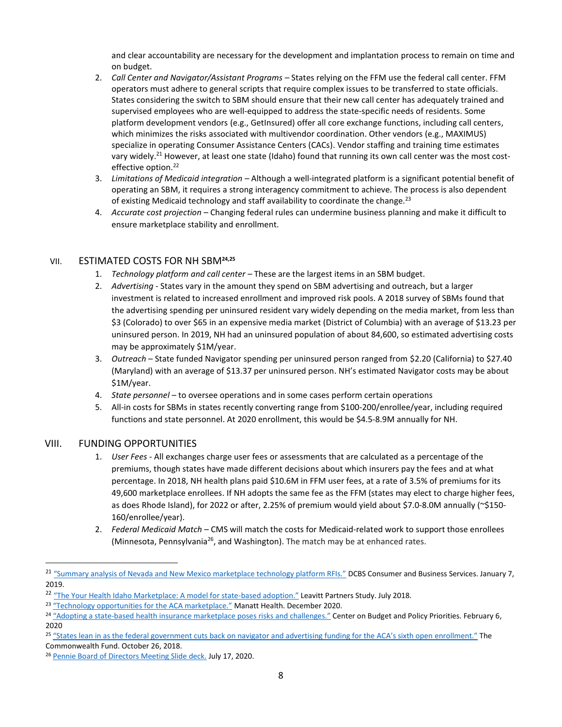and clear accountability are necessary for the development and implantation process to remain on time and on budget.

- 2. Call Center and Navigator/Assistant Programs States relying on the FFM use the federal call center. FFM operators must adhere to general scripts that require complex issues to be transferred to state officials. States considering the switch to SBM should ensure that their new call center has adequately trained and supervised employees who are well-equipped to address the state-specific needs of residents. Some platform development vendors (e.g., GetInsured) offer all core exchange functions, including call centers, which minimizes the risks associated with multivendor coordination. Other vendors (e.g., MAXIMUS) specialize in operating Consumer Assistance Centers (CACs). Vendor staffing and training time estimates vary widely.<sup>21</sup> However, at least one state (Idaho) found that running its own call center was the most costeffective option. 22
- 3. *Limitations of Medicaid integration –* Although a well-integrated platform is a significant potential benefit of operating an SBM, it requires a strong interagency commitment to achieve. The process is also dependent of existing Medicaid technology and staff availability to coordinate the change.<sup>23</sup>
- 4. *Accurate cost projection* Changing federal rules can undermine business planning and make it difficult to ensure marketplace stability and enrollment.

#### <span id="page-7-0"></span>VII. ESTIMATED COSTS FOR NH SBM**24,25**

- 1. *Technology platform and call center –* These are the largest items in an SBM budget.
- 2. *Advertising*  States vary in the amount they spend on SBM advertising and outreach, but a larger investment is related to increased enrollment and improved risk pools. A 2018 survey of SBMs found that the advertising spending per uninsured resident vary widely depending on the media market, from less than \$3 (Colorado) to over \$65 in an expensive media market (District of Columbia) with an average of \$13.23 per uninsured person. In 2019, NH had an uninsured population of about 84,600, so estimated advertising costs may be approximately \$1M/year.
- 3. *Outreach* State funded Navigator spending per uninsured person ranged from \$2.20 (California) to \$27.40 (Maryland) with an average of \$13.37 per uninsured person. NH's estimated Navigator costs may be about \$1M/year.
- 4. *State personnel* to oversee operations and in some cases perform certain operations
- 5. All-in costs for SBMs in states recently converting range from \$100-200/enrollee/year, including required functions and state personnel. At 2020 enrollment, this would be \$4.5-8.9M annually for NH.

#### <span id="page-7-1"></span>VIII. FUNDING OPPORTUNITIES

- 1. *User Fees* All exchanges charge user fees or assessments that are calculated as a percentage of the premiums, though states have made different decisions about which insurers pay the fees and at what percentage. In 2018, NH health plans paid \$10.6M in FFM user fees, at a rate of 3.5% of premiums for its 49,600 marketplace enrollees. If NH adopts the same fee as the FFM (states may elect to charge higher fees, as does Rhode Island), for 2022 or after, 2.25% of premium would yield about \$7.0-8.0M annually (~\$150- 160/enrollee/year).
- 2. *Federal Medicaid Match*  CMS will match the costs for Medicaid-related work to support those enrollees (Minnesota, Pennsylvania<sup>26</sup>, and Washington). The match may be at enhanced rates.

<sup>&</sup>lt;sup>21</sup> ["Summary analysis of Nevada and New Mexico marketplace technology platform RFIs."](https://healthcare.oregon.gov/DocResources/sum-memo-Nevada-New-Mexico-2018-RFIs.pdf) DCBS Consumer and Business Services. January 7, 2019.

<sup>&</sup>lt;sup>22</sup> ["The Your Health Idaho Marketplace: A model for state](https://www.yourhealthidaho.org/wp-content/uploads/2018/07/Leavitt-Partners-Study_The-Your-Health-Idaho-Marketplace-A-Model-For-State-Based-Adoption.pdf)-based adoption." Leavitt Partners Study. July 2018.

<sup>&</sup>lt;sup>23</sup> ["Technology opportunities for the ACA marketplace."](https://www.manatt.com/Manatt/media/Documents/Articles/RWJF-Technology-Opportunities-for-the-ACA-Marketplaces-December-2020_FOR-WEB.pdf) Manatt Health. December 2020.

<sup>&</sup>lt;sup>24</sup> "Adopting a state-[based health insurance marketplace poses risks and challenges."](https://www.cbpp.org/research/health/adopting-a-state-based-health-insurance-marketplace-poses-risks-and-challenges#_ftn6) Center on Budget and Policy Priorities. February 6, 2020

<sup>&</sup>lt;sup>25</sup> ["States lean in as the federal government cuts back on navigator and advertising funding for the ACA's sixth open](https://www.commonwealthfund.org/blog/2018/states-lean-federal-government-cuts-back-navigator-and-advertising-funding) enrollment." The Commonwealth Fund. October 26, 2018.

<sup>26</sup> [Pennie Board of Directors Meeting Slide deck.](https://agency.pennie.com/wp-content/uploads/20200717-BOD-Deck-for-Meeting.pdf) July 17, 2020.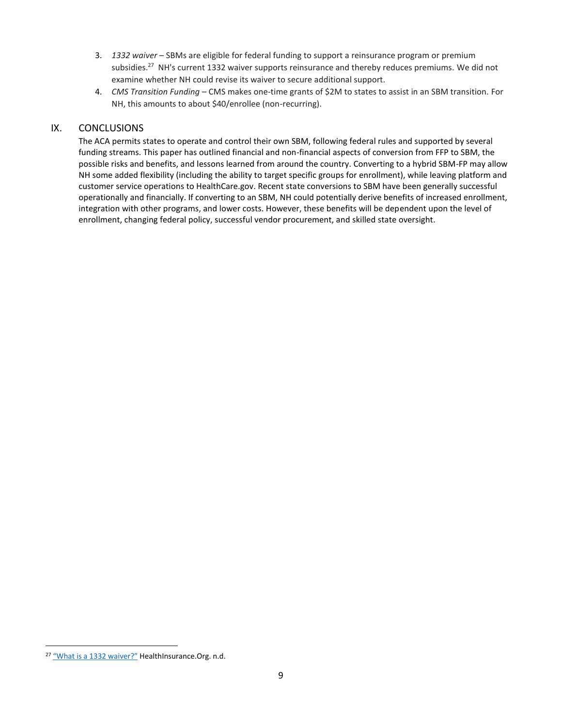- 3. *1332 waiver* SBMs are eligible for federal funding to support a reinsurance program or premium subsidies.<sup>27</sup> NH's current 1332 waiver supports reinsurance and thereby reduces premiums. We did not examine whether NH could revise its waiver to secure additional support.
- 4. *CMS Transition Funding* CMS makes one-time grants of \$2M to states to assist in an SBM transition. For NH, this amounts to about \$40/enrollee (non-recurring).

## <span id="page-8-0"></span>IX. CONCLUSIONS

The ACA permits states to operate and control their own SBM, following federal rules and supported by several funding streams. This paper has outlined financial and non-financial aspects of conversion from FFP to SBM, the possible risks and benefits, and lessons learned from around the country. Converting to a hybrid SBM-FP may allow NH some added flexibility (including the ability to target specific groups for enrollment), while leaving platform and customer service operations to HealthCare.gov. Recent state conversions to SBM have been generally successful operationally and financially. If converting to an SBM, NH could potentially derive benefits of increased enrollment, integration with other programs, and lower costs. However, these benefits will be dependent upon the level of enrollment, changing federal policy, successful vendor procurement, and skilled state oversight.

<sup>&</sup>lt;sup>27</sup> ["What is a 1332 waiver?"](https://www.healthinsurance.org/glossary/1332-waiver/) HealthInsurance.Org. n.d.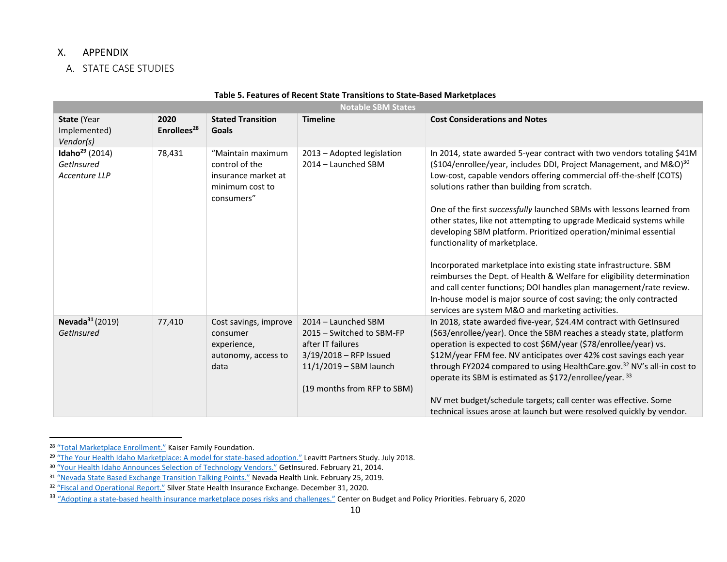## X. APPENDIX

## A. STATE CASE STUDIES

<span id="page-9-2"></span><span id="page-9-1"></span><span id="page-9-0"></span>

|                                                           | <b>Notable SBM States</b>       |                                                                                             |                                                                                                                                                            |                                                                                                                                                                                                                                                                                                                                                                                                                                                                                                                                                                                                                                                                                                                                                                                                                                |  |  |
|-----------------------------------------------------------|---------------------------------|---------------------------------------------------------------------------------------------|------------------------------------------------------------------------------------------------------------------------------------------------------------|--------------------------------------------------------------------------------------------------------------------------------------------------------------------------------------------------------------------------------------------------------------------------------------------------------------------------------------------------------------------------------------------------------------------------------------------------------------------------------------------------------------------------------------------------------------------------------------------------------------------------------------------------------------------------------------------------------------------------------------------------------------------------------------------------------------------------------|--|--|
| State (Year<br>Implemented)<br>Vendor(s)                  | 2020<br>Enrollees <sup>28</sup> | <b>Stated Transition</b><br>Goals                                                           | <b>Timeline</b>                                                                                                                                            | <b>Cost Considerations and Notes</b>                                                                                                                                                                                                                                                                                                                                                                                                                                                                                                                                                                                                                                                                                                                                                                                           |  |  |
| Idaho <sup>29</sup> (2014)<br>GetInsured<br>Accenture LLP | 78,431                          | "Maintain maximum<br>control of the<br>insurance market at<br>minimum cost to<br>consumers" | 2013 - Adopted legislation<br>2014 - Launched SBM                                                                                                          | In 2014, state awarded 5-year contract with two vendors totaling \$41M<br>(\$104/enrollee/year, includes DDI, Project Management, and M&O) <sup>30</sup><br>Low-cost, capable vendors offering commercial off-the-shelf (COTS)<br>solutions rather than building from scratch.<br>One of the first successfully launched SBMs with lessons learned from<br>other states, like not attempting to upgrade Medicaid systems while<br>developing SBM platform. Prioritized operation/minimal essential<br>functionality of marketplace.<br>Incorporated marketplace into existing state infrastructure. SBM<br>reimburses the Dept. of Health & Welfare for eligibility determination<br>and call center functions; DOI handles plan management/rate review.<br>In-house model is major source of cost saving; the only contracted |  |  |
| Nevada $31(2019)$<br>GetInsured                           | 77,410                          | Cost savings, improve<br>consumer<br>experience,<br>autonomy, access to<br>data             | 2014 - Launched SBM<br>2015 - Switched to SBM-FP<br>after IT failures<br>$3/19/2018$ – RFP Issued<br>11/1/2019 - SBM launch<br>(19 months from RFP to SBM) | services are system M&O and marketing activities.<br>In 2018, state awarded five-year, \$24.4M contract with GetInsured<br>(\$63/enrollee/year). Once the SBM reaches a steady state, platform<br>operation is expected to cost \$6M/year (\$78/enrollee/year) vs.<br>\$12M/year FFM fee. NV anticipates over 42% cost savings each year<br>through FY2024 compared to using HealthCare.gov. <sup>32</sup> NV's all-in cost to<br>operate its SBM is estimated as \$172/enrollee/year. 33<br>NV met budget/schedule targets; call center was effective. Some<br>technical issues arose at launch but were resolved quickly by vendor.                                                                                                                                                                                          |  |  |

#### **Table 5. Features of Recent State Transitions to State-Based Marketplaces**

<sup>28</sup> ["Total Marketplace Enrollment."](https://www.kff.org/health-reform/state-indicator/total-marketplace-enrollment/?currentTimeframe=0&selectedRows=%7B%22states%22:%7B%22nevada%22:%7B%7D%7D%7D&sortModel=%7B%22colId%22:%22Marketplace%20Type%22,%22sort%22:%22desc%22%7D) Kaiser Family Foundation.

<sup>&</sup>lt;sup>29</sup> ["The Your Health Idaho Marketplace: A model for state](https://www.yourhealthidaho.org/wp-content/uploads/2018/07/Leavitt-Partners-Study_The-Your-Health-Idaho-Marketplace-A-Model-For-State-Based-Adoption.pdf)-based adoption." Leavitt Partners Study. July 2018.

<sup>&</sup>lt;sup>30</sup> ["Your Health Idaho Announces Selection of Technology Vendors."](https://company.getinsured.com/news/your-health-idaho-announces-selection-of-technology-vendors/) GetInsured. February 21, 2014.

<sup>&</sup>lt;sup>31</sup> ["Nevada State Based Exchange Transition Talking Points."](https://d1q4hslcl8rmbx.cloudfront.net/assets/uploads/2019/02/SBE-Transition-Internal-Talking-Points-working-doc.pdf) Nevada Health Link. February 25, 2019.

<sup>&</sup>lt;sup>32</sup> ["Fiscal and Operational Report."](https://d1q4hslcl8rmbx.cloudfront.net/assets/uploads/2021/01/Fiscal-Operational-Report_SSHIE_12-31-2020.pdf) Silver State Health Insurance Exchange. December 31, 2020.

<sup>&</sup>lt;sup>33</sup> "Adopting a state-[based health insurance marketplace poses risks and challenges."](https://www.cbpp.org/research/health/adopting-a-state-based-health-insurance-marketplace-poses-risks-and-challenges#_ftn6) Center on Budget and Policy Priorities. February 6, 2020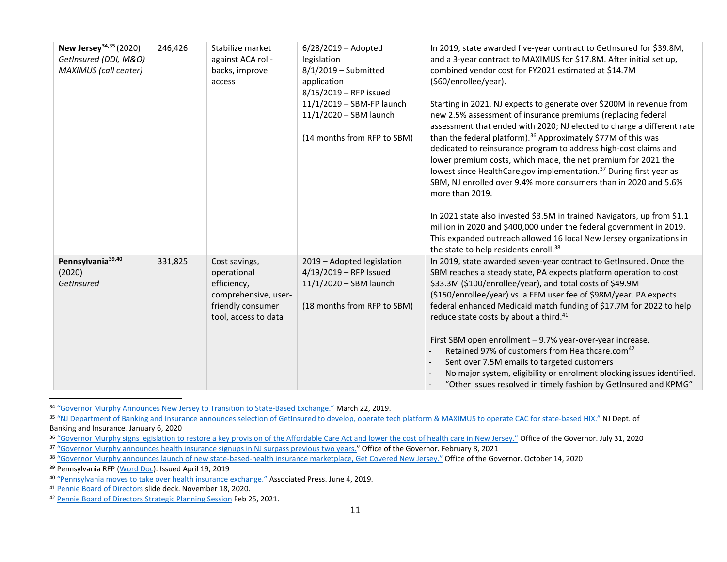| New Jersey <sup>34,35</sup> (2020)<br>GetInsured (DDI, M&O)<br>MAXIMUS (call center) | 246,426 | Stabilize market<br>against ACA roll-<br>backs, improve<br>access                                                | $6/28/2019 -$ Adopted<br>legislation<br>$8/1/2019$ – Submitted<br>application<br>8/15/2019 - RFP issued<br>11/1/2019 - SBM-FP launch<br>$11/1/2020 - SBM$ launch<br>(14 months from RFP to SBM) | In 2019, state awarded five-year contract to GetInsured for \$39.8M,<br>and a 3-year contract to MAXIMUS for \$17.8M. After initial set up,<br>combined vendor cost for FY2021 estimated at \$14.7M<br>(§60/enrollee/year).<br>Starting in 2021, NJ expects to generate over \$200M in revenue from<br>new 2.5% assessment of insurance premiums (replacing federal<br>assessment that ended with 2020; NJ elected to charge a different rate<br>than the federal platform). <sup>36</sup> Approximately \$77M of this was<br>dedicated to reinsurance program to address high-cost claims and<br>lower premium costs, which made, the net premium for 2021 the<br>lowest since HealthCare.gov implementation. <sup>37</sup> During first year as<br>SBM, NJ enrolled over 9.4% more consumers than in 2020 and 5.6% |
|--------------------------------------------------------------------------------------|---------|------------------------------------------------------------------------------------------------------------------|-------------------------------------------------------------------------------------------------------------------------------------------------------------------------------------------------|----------------------------------------------------------------------------------------------------------------------------------------------------------------------------------------------------------------------------------------------------------------------------------------------------------------------------------------------------------------------------------------------------------------------------------------------------------------------------------------------------------------------------------------------------------------------------------------------------------------------------------------------------------------------------------------------------------------------------------------------------------------------------------------------------------------------|
|                                                                                      |         |                                                                                                                  |                                                                                                                                                                                                 | more than 2019.<br>In 2021 state also invested \$3.5M in trained Navigators, up from \$1.1<br>million in 2020 and \$400,000 under the federal government in 2019.<br>This expanded outreach allowed 16 local New Jersey organizations in<br>the state to help residents enroll. <sup>38</sup>                                                                                                                                                                                                                                                                                                                                                                                                                                                                                                                        |
| Pennsylvania <sup>39,40</sup><br>(2020)<br>GetInsured                                | 331,825 | Cost savings,<br>operational<br>efficiency,<br>comprehensive, user-<br>friendly consumer<br>tool, access to data | 2019 - Adopted legislation<br>4/19/2019 - RFP Issued<br>11/1/2020 - SBM launch<br>(18 months from RFP to SBM)                                                                                   | In 2019, state awarded seven-year contract to GetInsured. Once the<br>SBM reaches a steady state, PA expects platform operation to cost<br>\$33.3M (\$100/enrollee/year), and total costs of \$49.9M<br>(\$150/enrollee/year) vs. a FFM user fee of \$98M/year. PA expects<br>federal enhanced Medicaid match funding of \$17.7M for 2022 to help<br>reduce state costs by about a third. <sup>41</sup><br>First SBM open enrollment - 9.7% year-over-year increase.<br>Retained 97% of customers from Healthcare.com <sup>42</sup>                                                                                                                                                                                                                                                                                  |
|                                                                                      |         |                                                                                                                  |                                                                                                                                                                                                 | Sent over 7.5M emails to targeted customers<br>No major system, eligibility or enrolment blocking issues identified.<br>"Other issues resolved in timely fashion by GetInsured and KPMG"                                                                                                                                                                                                                                                                                                                                                                                                                                                                                                                                                                                                                             |

<sup>34</sup> ["Governor Murphy Announces New Jersey to Transition to State](https://nj.gov/governor/news/news/562019/approved/20190322a.shtml)-Based Exchange." March 22, 2019.

35 ["NJ Department of Banking and Insurance announces selection of GetInsured to develop, o](https://www.state.nj.us/dobi/pressreleases/pr200106.html)perate tech platform & MAXIMUS to operate CAC for state-based HIX." NJ Dept. of Banking and Insurance. January 6, 2020

<sup>&</sup>lt;sup>36</sup> ["Governor Murphy signs legislation to restore a key provision of the Affordable Care Act and lower the cost of health care in New Jersey."](https://nj.gov/governor/news/news/562020/approved/20200731a.shtml) Office of the Governor. July 31, 2020

<sup>&</sup>lt;sup>37</sup> ["Governor Murphy announces health insurance sig](https://nj.gov/governor/news/news/562021/approved/20210208c.shtml#:~:text=The%20state%20of%20New%20Jersey%20transitioned%20from%20using%20the%20federally,2020%20to%20January%2031%2C%202021.)nups in NJ surpass previous two years." Office of the Governor. February 8, 2021

<sup>38 &</sup>quot;Governor Murphy announces launch of new state[-based-health insurance marketplace, Get Covered N](https://www.nj.gov/governor/news/news/562020/20201014a.shtml)ew Jersey." Office of the Governor. October 14, 2020

<sup>39</sup> Pennsylvania RFP [\(Word Doc\)](http://www.emarketplace.state.pa.us/FileDownload.aspx?file=6100048766/Solicitation_0.docx&OriginalFileName=PID%20SB%20Exchange%20IT%20Vendor%20RFP%20FINAL.docx.). Issued April 19, 2019

<sup>40</sup> ["Pennsylvania moves to take over health insurance exchange."](https://apnews.com/article/07765d54a4c343f7b75c7b1fc9ce73e8) Associated Press. June 4, 2019.

<sup>41</sup> [Pennie Board of Directors](https://agency.pennie.com/wp-content/uploads/20201118-Pennie-BOD-Read-Only.pdf) slide deck. November 18, 2020.

<sup>42</sup> [Pennie Board of Directors Strategic Planning Session](https://agency.pennie.com/wp-content/uploads/Pennie-BOD-February-Strategic-Planning-Session-Final-Cmp.pdf) Feb 25, 2021.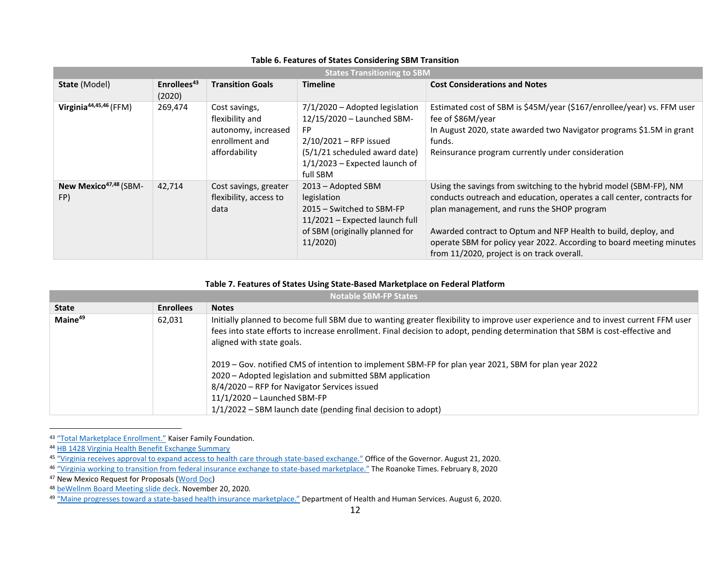| <b>States Transitioning to SBM</b>       |                                   |                                                                                            |                                                                                                                                                                                 |                                                                                                                                                                                                                                                                                                                                                                                   |  |
|------------------------------------------|-----------------------------------|--------------------------------------------------------------------------------------------|---------------------------------------------------------------------------------------------------------------------------------------------------------------------------------|-----------------------------------------------------------------------------------------------------------------------------------------------------------------------------------------------------------------------------------------------------------------------------------------------------------------------------------------------------------------------------------|--|
| State (Model)                            | Enrollees <sup>43</sup><br>(2020) | <b>Transition Goals</b>                                                                    | <b>Timeline</b>                                                                                                                                                                 | <b>Cost Considerations and Notes</b>                                                                                                                                                                                                                                                                                                                                              |  |
| Virginia <sup>44,45,46</sup> (FFM)       | 269,474                           | Cost savings,<br>flexibility and<br>autonomy, increased<br>enrollment and<br>affordability | 7/1/2020 - Adopted legislation<br>12/15/2020 - Launched SBM-<br>FP.<br>$2/10/2021 - RFP$ issued<br>(5/1/21 scheduled award date)<br>$1/1/2023$ – Expected launch of<br>full SBM | Estimated cost of SBM is \$45M/year (\$167/enrollee/year) vs. FFM user<br>fee of \$86M/year<br>In August 2020, state awarded two Navigator programs \$1.5M in grant<br>funds.<br>Reinsurance program currently under consideration                                                                                                                                                |  |
| New Mexico <sup>47,48</sup> (SBM-<br>FP) | 42,714                            | Cost savings, greater<br>flexibility, access to<br>data                                    | 2013 – Adopted SBM<br>legislation<br>2015 – Switched to SBM-FP<br>11/2021 – Expected launch full<br>of SBM (originally planned for<br>11/2020)                                  | Using the savings from switching to the hybrid model (SBM-FP), NM<br>conducts outreach and education, operates a call center, contracts for<br>plan management, and runs the SHOP program<br>Awarded contract to Optum and NFP Health to build, deploy, and<br>operate SBM for policy year 2022. According to board meeting minutes<br>from 11/2020, project is on track overall. |  |

#### **Table 6. Features of States Considering SBM Transition**

#### **Table 7. Features of States Using State-Based Marketplace on Federal Platform**

<span id="page-11-0"></span>

| <b>Notable SBM-FP States</b> |                  |                                                                                                                                                                                                                                                                                                                                                                                                                                                                                                                                                                                                                      |  |
|------------------------------|------------------|----------------------------------------------------------------------------------------------------------------------------------------------------------------------------------------------------------------------------------------------------------------------------------------------------------------------------------------------------------------------------------------------------------------------------------------------------------------------------------------------------------------------------------------------------------------------------------------------------------------------|--|
| <b>State</b>                 | <b>Enrollees</b> | <b>Notes</b>                                                                                                                                                                                                                                                                                                                                                                                                                                                                                                                                                                                                         |  |
| Maine <sup>49</sup>          | 62,031           | Initially planned to become full SBM due to wanting greater flexibility to improve user experience and to invest current FFM user<br>fees into state efforts to increase enrollment. Final decision to adopt, pending determination that SBM is cost-effective and<br>aligned with state goals.<br>2019 – Gov. notified CMS of intention to implement SBM-FP for plan year 2021, SBM for plan year 2022<br>2020 - Adopted legislation and submitted SBM application<br>8/4/2020 - RFP for Navigator Services issued<br>$11/1/2020$ – Launched SBM-FP<br>1/1/2022 - SBM launch date (pending final decision to adopt) |  |

<sup>43</sup> ["Total Marketplace Enrollment."](https://www.kff.org/health-reform/state-indicator/total-marketplace-enrollment/?currentTimeframe=0&selectedRows=%7B%22states%22:%7B%22nevada%22:%7B%7D%7D%7D&sortModel=%7B%22colId%22:%22Marketplace%20Type%22,%22sort%22:%22desc%22%7D) Kaiser Family Foundation.

<span id="page-11-1"></span><sup>44</sup> [HB 1428 Virginia Health Benefit Exchange Summary](https://lis.virginia.gov/cgi-bin/legp604.exe?201+sum+HB1428)

<sup>&</sup>lt;sup>45</sup> "Virginia receives approval to expa[nd access to health care through state-](https://www.governor.virginia.gov/newsroom/all-releases/2020/august/headline-860017-en.html)based exchange." Office of the Governor. August 21, 2020.

<sup>46</sup> ["Virginia working to transition from federal insurance exchange to state](https://roanoke.com/news/local/virginia-working-to-transition-from-federal-insurance-exchange-to-state-based-marketplace/article_9e947e7a-d599-5e10-b815-8dcad937cb46.html)-based marketplace." The Roanoke Times. February 8, 2020

<sup>47</sup> New Mexico Request for Proposals [\(Word Doc\)](https://www.bewellnm.com/getmedia/b559e6ae-be90-4790-9058-b66d3fdcb3c9/RFP-2019-001-Individual-Marketplace-and-Customer-Engagement-Center-RFP_FINAL-249-PM.docx)

<sup>48</sup> [beWellnm Board Meeting slide deck.](https://www.bewellnm.com/getmedia/764a5f3d-61e6-4095-8821-a2f5025736db/11-20-20-Board-Deck.pdf;.aspx) November 20, 2020.

<sup>&</sup>lt;sup>49</sup> "Maine progresses toward a state-[based health insurance marketplace."](https://www.maine.gov/dhhs/blog/maine-progresses-toward-state-based-health-insurance-marketplace-2020-08-06) Department of Health and Human Services. August 6, 2020.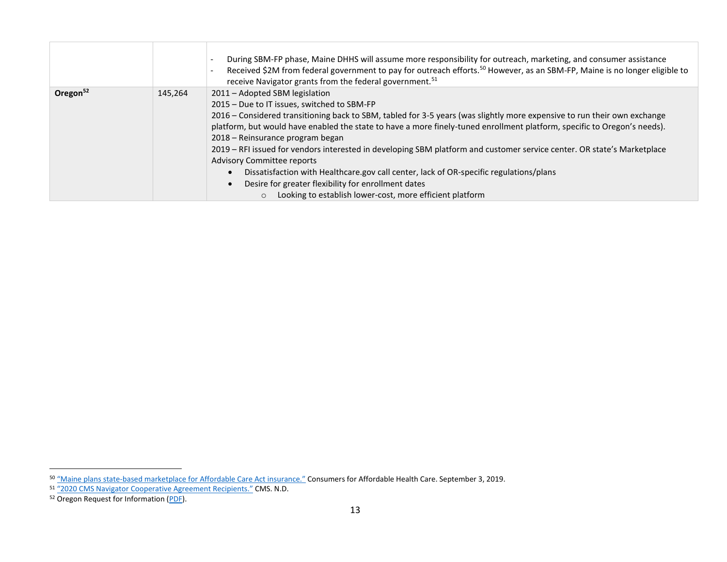|                      |         | During SBM-FP phase, Maine DHHS will assume more responsibility for outreach, marketing, and consumer assistance<br>Received \$2M from federal government to pay for outreach efforts. <sup>50</sup> However, as an SBM-FP, Maine is no longer eligible to<br>receive Navigator grants from the federal government. <sup>51</sup> |
|----------------------|---------|-----------------------------------------------------------------------------------------------------------------------------------------------------------------------------------------------------------------------------------------------------------------------------------------------------------------------------------|
| Oregon <sup>52</sup> | 145,264 | 2011 - Adopted SBM legislation                                                                                                                                                                                                                                                                                                    |
|                      |         | 2015 – Due to IT issues, switched to SBM-FP                                                                                                                                                                                                                                                                                       |
|                      |         | 2016 - Considered transitioning back to SBM, tabled for 3-5 years (was slightly more expensive to run their own exchange                                                                                                                                                                                                          |
|                      |         | platform, but would have enabled the state to have a more finely-tuned enrollment platform, specific to Oregon's needs).                                                                                                                                                                                                          |
|                      |         | 2018 – Reinsurance program began                                                                                                                                                                                                                                                                                                  |
|                      |         | 2019 – RFI issued for vendors interested in developing SBM platform and customer service center. OR state's Marketplace                                                                                                                                                                                                           |
|                      |         | <b>Advisory Committee reports</b>                                                                                                                                                                                                                                                                                                 |
|                      |         | Dissatisfaction with Healthcare.gov call center, lack of OR-specific regulations/plans                                                                                                                                                                                                                                            |
|                      |         | Desire for greater flexibility for enrollment dates                                                                                                                                                                                                                                                                               |
|                      |         | Looking to establish lower-cost, more efficient platform                                                                                                                                                                                                                                                                          |

<sup>50 &</sup>quot;Maine plans state-[based marketplace for Affordable Care Act insurance."](https://www.mainecahc.org/maine-plans-state-based-marketplace-for-affordable-care-act-insurance/) Consumers for Affordable Health Care. September 3, 2019.

<sup>&</sup>lt;sup>51</sup> ["2020 CMS Navigator Cooperative Agreement Recipients."](https://www.cms.gov/CCIIO/Programs-and-Initiatives/Health-Insurance-Marketplaces/Downloads/2020-Navigator-Grant-Recipients.pdf) CMS. N.D.

<sup>&</sup>lt;sup>52</sup> Oregon Request for Information [\(PDF\)](https://healthcare.oregon.gov/DocResources/RFI-DCBS-1186-1-ORHIM%20-platform-service-center.pdf).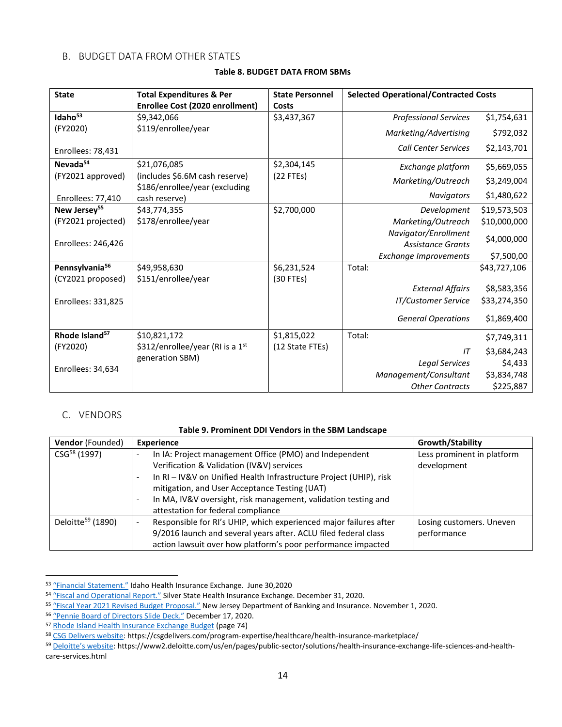#### <span id="page-13-1"></span><span id="page-13-0"></span>B. BUDGET DATA FROM OTHER STATES

#### **Table 8. BUDGET DATA FROM SBMs**

| <b>State</b>               | <b>Total Expenditures &amp; Per</b>                              | <b>State Personnel</b> | <b>Selected Operational/Contracted Costs</b>     |              |  |
|----------------------------|------------------------------------------------------------------|------------------------|--------------------------------------------------|--------------|--|
|                            | Enrollee Cost (2020 enrollment)                                  | Costs                  |                                                  |              |  |
| Idaho <sup>53</sup>        | \$9,342,066                                                      | \$3,437,367            | <b>Professional Services</b>                     | \$1,754,631  |  |
| (FY2020)                   | \$119/enrollee/year                                              |                        | Marketing/Advertising                            | \$792,032    |  |
| Enrollees: 78,431          |                                                                  |                        | <b>Call Center Services</b>                      | \$2,143,701  |  |
| Nevada <sup>54</sup>       | \$21,076,085                                                     | \$2,304,145            | Exchange platform                                | \$5,669,055  |  |
| (FY2021 approved)          | (includes \$6.6M cash reserve)<br>\$186/enrollee/year (excluding | $(22$ FTEs)            | Marketing/Outreach                               | \$3,249,004  |  |
| Enrollees: 77,410          | cash reserve)                                                    |                        | <b>Navigators</b>                                | \$1,480,622  |  |
| New Jersey <sup>55</sup>   | \$43,774,355                                                     | \$2,700,000            | Development                                      | \$19,573,503 |  |
| (FY2021 projected)         | \$178/enrollee/year                                              |                        | Marketing/Outreach                               | \$10,000,000 |  |
| Enrollees: 246,426         |                                                                  |                        | Navigator/Enrollment<br><b>Assistance Grants</b> | \$4,000,000  |  |
|                            |                                                                  |                        | <b>Exchange Improvements</b>                     | \$7,500,00   |  |
| Pennsylvania <sup>56</sup> | \$49,958,630                                                     | \$6,231,524            | Total:                                           | \$43,727,106 |  |
| (CY2021 proposed)          | \$151/enrollee/year                                              | $(30$ FTEs)            |                                                  |              |  |
|                            |                                                                  |                        | <b>External Affairs</b>                          | \$8,583,356  |  |
| Enrollees: 331,825         |                                                                  |                        | <b>IT/Customer Service</b>                       | \$33,274,350 |  |
|                            |                                                                  |                        | <b>General Operations</b>                        | \$1,869,400  |  |
| Rhode Island <sup>57</sup> | \$10,821,172                                                     | \$1,815,022            | Total:                                           | \$7,749,311  |  |
| (FY2020)                   | \$312/enrollee/year (RI is a 1st                                 | (12 State FTEs)        | IT                                               | \$3,684,243  |  |
|                            | generation SBM)                                                  |                        | Legal Services                                   | \$4,433      |  |
| Enrollees: 34,634          |                                                                  |                        | Management/Consultant                            | \$3,834,748  |  |
|                            |                                                                  |                        | <b>Other Contracts</b>                           | \$225,887    |  |

#### <span id="page-13-2"></span>C. VENDORS

#### **Table 9. Prominent DDI Vendors in the SBM Landscape**

<span id="page-13-3"></span>

| Vendor (Founded)              | <b>Experience</b>                                                 | Growth/Stability           |
|-------------------------------|-------------------------------------------------------------------|----------------------------|
| CSG <sup>58</sup> (1997)      | In IA: Project management Office (PMO) and Independent            | Less prominent in platform |
|                               | Verification & Validation (IV&V) services                         | development                |
|                               | In RI-IV&V on Unified Health Infrastructure Project (UHIP), risk  |                            |
|                               | mitigation, and User Acceptance Testing (UAT)                     |                            |
|                               | In MA, IV&V oversight, risk management, validation testing and    |                            |
|                               | attestation for federal compliance                                |                            |
| Deloitte <sup>59</sup> (1890) | Responsible for RI's UHIP, which experienced major failures after | Losing customers. Uneven   |
|                               | 9/2016 launch and several years after. ACLU filed federal class   | performance                |
|                               | action lawsuit over how platform's poor performance impacted      |                            |

<sup>53</sup> ["Financial Statement."](https://www.yourhealthidaho.org/wp-content/uploads/Idaho-Health-Insurance-Exchange-2020-Financial-Audit-Report.pdf) Idaho Health Insurance Exchange. June 30,2020

<sup>54</sup> ["Fiscal and Operational Report."](https://d1q4hslcl8rmbx.cloudfront.net/assets/uploads/2021/01/Fiscal-Operational-Report_SSHIE_12-31-2020.pdf) Silver State Health Insurance Exchange. December 31, 2020.

<sup>55</sup> ["Fiscal Year 2021 Revised Budget Proposal."](https://www.njleg.state.nj.us/legislativepub/budget_2021/DOBI_Response_2021.pdf) New Jersey Department of Banking and Insurance. November 1, 2020.

<sup>56</sup> ["Pennie Board of Directors Slide Deck."](https://agency.pennie.com/wp-content/uploads/20201217-Pennie-BOD-V2.pdf) December 17, 2020.

<sup>57</sup> [Rhode Island Health Insurance Exchange Budget](http://www.omb.ri.gov/documents/Prior%20Year%20Budgets/Operating%20Budget%202021/BudgetVolumeI/1_Department%20of%20Administration.pdf) (page 74)

<sup>58</sup> [CSG Delivers website:](https://csgdelivers.com/program-expertise/healthcare/health-insurance-marketplace/) https://csgdelivers.com/program-expertise/healthcare/health-insurance-marketplace/

<sup>59</sup> [Deloitte's website](https://www2.deloitte.com/us/en/pages/public-sector/solutions/health-insurance-exchange-life-sciences-and-health-care-services.html): https://www2.deloitte.com/us/en/pages/public-sector/solutions/health-insurance-exchange-life-sciences-and-healthcare-services.html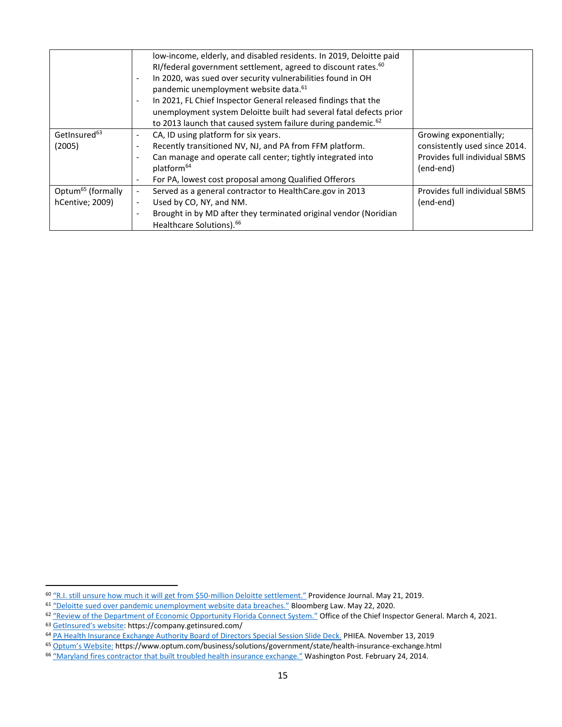|                               | low-income, elderly, and disabled residents. In 2019, Deloitte paid<br>RI/federal government settlement, agreed to discount rates. <sup>60</sup><br>In 2020, was sued over security vulnerabilities found in OH<br>$\overline{\phantom{a}}$<br>pandemic unemployment website data. <sup>61</sup><br>In 2021, FL Chief Inspector General released findings that the<br>$\overline{\phantom{a}}$<br>unemployment system Deloitte built had several fatal defects prior<br>to 2013 launch that caused system failure during pandemic. <sup>62</sup> |                               |
|-------------------------------|--------------------------------------------------------------------------------------------------------------------------------------------------------------------------------------------------------------------------------------------------------------------------------------------------------------------------------------------------------------------------------------------------------------------------------------------------------------------------------------------------------------------------------------------------|-------------------------------|
| GetInsured <sup>63</sup>      | CA, ID using platform for six years.<br>$\overline{\phantom{a}}$                                                                                                                                                                                                                                                                                                                                                                                                                                                                                 | Growing exponentially;        |
| (2005)                        | Recently transitioned NV, NJ, and PA from FFM platform.<br>$\overline{\phantom{a}}$                                                                                                                                                                                                                                                                                                                                                                                                                                                              | consistently used since 2014. |
|                               | Can manage and operate call center; tightly integrated into<br>$\overline{\phantom{a}}$                                                                                                                                                                                                                                                                                                                                                                                                                                                          | Provides full individual SBMS |
|                               | platform <sup>64</sup>                                                                                                                                                                                                                                                                                                                                                                                                                                                                                                                           | (end-end)                     |
|                               | For PA, lowest cost proposal among Qualified Offerors<br>$\overline{\phantom{a}}$                                                                                                                                                                                                                                                                                                                                                                                                                                                                |                               |
| Optum <sup>65</sup> (formally | Served as a general contractor to HealthCare.gov in 2013<br>$\sim$                                                                                                                                                                                                                                                                                                                                                                                                                                                                               | Provides full individual SBMS |
| hCentive; 2009)               | Used by CO, NY, and NM.<br>$\overline{\phantom{a}}$                                                                                                                                                                                                                                                                                                                                                                                                                                                                                              | (end-end)                     |
|                               | Brought in by MD after they terminated original vendor (Noridian<br>$\overline{\phantom{a}}$                                                                                                                                                                                                                                                                                                                                                                                                                                                     |                               |
|                               | Healthcare Solutions). <sup>66</sup>                                                                                                                                                                                                                                                                                                                                                                                                                                                                                                             |                               |

<sup>60</sup> ["R.I. still unsure how much it will get from \\$50](https://www.providencejournal.com/news/20190521/ri-still-unsure-how-much-it-will-get-from-50-million-deloitte-settlement)-million Deloitte settlement." Providence Journal. May 21, 2019.

<sup>&</sup>lt;sup>61</sup> ["Deloitte sued over pandemic unemployment website data breaches."](https://news.bloomberglaw.com/privacy-and-data-security/deloitte-sued-over-pandemic-unemployment-website-data-breaches) Bloomberg Law. May 22, 2020.

<sup>&</sup>lt;u>**Experiment of Economic Opportunity Florida Connect System."</u> Office of the Chief Inspector General. March 4, 2021.**</u>

<sup>63</sup> [GetInsured's website](https://company.getinsured.com/): https://company.getinsured.com/

<sup>64</sup> [PA Health Insurance Exchange Authority Board of Directors Special Session Slide Deck.](https://agency.pennie.com/wp-content/uploads/BOD-Special-Public-Session-111319.pdf) PHIEA. November 13, 2019

<sup>65</sup> [Optum's Website:](https://www.optum.com/business/solutions/government/state/health-insurance-exchange.html) https://www.optum.com/business/solutions/government/state/health-insurance-exchange.html

<sup>66</sup> ["Maryland fires contractor that built troubled health insurance exchange."](https://www.washingtonpost.com/local/md-politics/maryland-to-fire-its-health-care-exchange-contractor/2014/02/24/50df0490-9ce6-11e3-ad71-e03637a299c0_story.html) Washington Post. February 24, 2014.